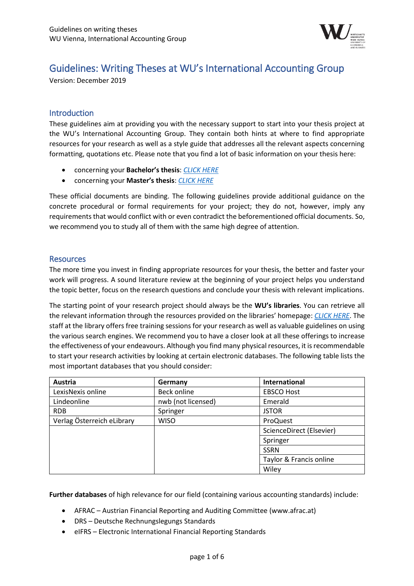

# Guidelines: Writing Theses at WU's International Accounting Group

Version: December 2019

## **Introduction**

These guidelines aim at providing you with the necessary support to start into your thesis project at the WU's International Accounting Group. They contain both hints at where to find appropriate resources for your research as well as a style guide that addresses all the relevant aspects concerning formatting, quotations etc. Please note that you find a lot of basic information on your thesis here:

- concerning your **Bachelor's thesis**: *[CLICK HERE](https://www.wu.ac.at/en/students/my-program/bachelors-student-guide/bachelors-thesis/)*
- concerning your **Master's thesis**: *[CLICK HERE](https://www.wu.ac.at/en/students/my-program/masters-student-guide/masters-thesis/)*

These official documents are binding. The following guidelines provide additional guidance on the concrete procedural or formal requirements for your project; they do not, however, imply any requirements that would conflict with or even contradict the beforementioned official documents. So, we recommend you to study all of them with the same high degree of attention.

#### **Resources**

The more time you invest in finding appropriate resources for your thesis, the better and faster your work will progress. A sound literature review at the beginning of your project helps you understand the topic better, focus on the research questions and conclude your thesis with relevant implications.

The starting point of your research project should always be the **WU's libraries**. You can retrieve all the relevant information through the resources provided on the libraries' homepage: *[CLICK HERE](https://www.wu.ac.at/en/library/finding-literature/)*. The staff at the library offers free training sessions for your research as well as valuable guidelines on using the various search engines. We recommend you to have a closer look at all these offerings to increase the effectiveness of your endeavours. Although you find many physical resources, it is recommendable to start your research activities by looking at certain electronic databases. The following table lists the most important databases that you should consider:

| Austria                    | Germany            | <b>International</b>     |
|----------------------------|--------------------|--------------------------|
| LexisNexis online          | <b>Beck online</b> | <b>EBSCO Host</b>        |
| Lindeonline                | nwb (not licensed) | Emerald                  |
| <b>RDB</b>                 | Springer           | <b>JSTOR</b>             |
| Verlag Österreich eLibrary | <b>WISO</b>        | ProQuest                 |
|                            |                    | ScienceDirect (Elsevier) |
|                            |                    | Springer                 |
|                            |                    | <b>SSRN</b>              |
|                            |                    | Taylor & Francis online  |
|                            |                    | Wiley                    |

**Further databases** of high relevance for our field (containing various accounting standards) include:

- AFRAC Austrian Financial Reporting and Auditing Committee (www.afrac.at)
- DRS Deutsche Rechnungslegungs Standards
- eIFRS Electronic International Financial Reporting Standards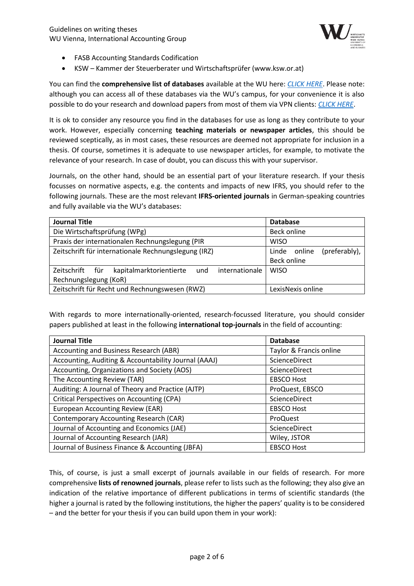

- FASB Accounting Standards Codification
- KSW Kammer der Steuerberater und Wirtschaftsprüfer (www.ksw.or.at)

You can find the **comprehensive list of databases** available at the WU here: *[CLICK HERE](https://www.wu.ac.at/en/library/finding-literature/databases/all-databases/)*. Please note: although you can access all of these databases via the WU's campus, for your convenience it is also possible to do your research and download papers from most of them via VPN clients: *[CLICK HERE](https://www.wu.ac.at/en/it/services/network/vpn/)*.

It is ok to consider any resource you find in the databases for use as long as they contribute to your work. However, especially concerning **teaching materials or newspaper articles**, this should be reviewed sceptically, as in most cases, these resources are deemed not appropriate for inclusion in a thesis. Of course, sometimes it is adequate to use newspaper articles, for example, to motivate the relevance of your research. In case of doubt, you can discuss this with your supervisor.

Journals, on the other hand, should be an essential part of your literature research. If your thesis focusses on normative aspects, e.g. the contents and impacts of new IFRS, you should refer to the following journals. These are the most relevant **IFRS-oriented journals** in German-speaking countries and fully available via the WU's databases:

| <b>Journal Title</b>                                                | <b>Database</b>               |
|---------------------------------------------------------------------|-------------------------------|
| Die Wirtschaftsprüfung (WPg)                                        | <b>Beck online</b>            |
| Praxis der internationalen Rechnungslegung (PIR                     | <b>WISO</b>                   |
| Zeitschrift für internationale Rechnungslegung (IRZ)                | (preferably),<br>Linde online |
|                                                                     | Beck online                   |
| kapitalmarktorientierte<br>Zeitschrift für<br>internationale<br>und | <b>WISO</b>                   |
| Rechnungslegung (KoR)                                               |                               |
| Zeitschrift für Recht und Rechnungswesen (RWZ)                      | LexisNexis online             |

With regards to more internationally-oriented, research-focussed literature, you should consider papers published at least in the following **international top-journals** in the field of accounting:

| <b>Journal Title</b>                                 | <b>Database</b>         |
|------------------------------------------------------|-------------------------|
| Accounting and Business Research (ABR)               | Taylor & Francis online |
| Accounting, Auditing & Accountability Journal (AAAJ) | ScienceDirect           |
| Accounting, Organizations and Society (AOS)          | ScienceDirect           |
| The Accounting Review (TAR)                          | <b>EBSCO Host</b>       |
| Auditing: A Journal of Theory and Practice (AJTP)    | ProQuest, EBSCO         |
| <b>Critical Perspectives on Accounting (CPA)</b>     | ScienceDirect           |
| European Accounting Review (EAR)                     | <b>EBSCO Host</b>       |
| <b>Contemporary Accounting Research (CAR)</b>        | ProQuest                |
| Journal of Accounting and Economics (JAE)            | ScienceDirect           |
| Journal of Accounting Research (JAR)                 | Wiley, JSTOR            |
| Journal of Business Finance & Accounting (JBFA)      | <b>EBSCO Host</b>       |

This, of course, is just a small excerpt of journals available in our fields of research. For more comprehensive **lists of renowned journals**, please refer to lists such as the following; they also give an indication of the relative importance of different publications in terms of scientific standards (the higher a journal is rated by the following institutions, the higher the papers' quality is to be considered – and the better for your thesis if you can build upon them in your work):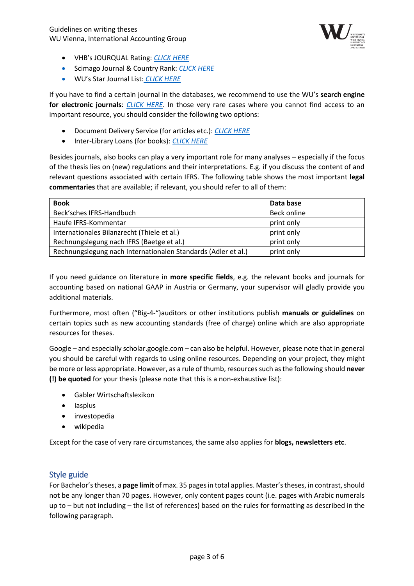

- VHB's JOURQUAL Rating: *[CLICK HERE](https://vhbonline.org/vhb4you/jourqual/)*
- Scimago Journal & Country Rank: *[CLICK HERE](https://www.scimagojr.com/journalrank.php?category=1402)*
- WU's Star Journal List: *[CLICK HERE](https://www.wu.ac.at/mitarbeitende/infos-fuer-forschende/wu-journalratings-leistungspraemien/)*

If you have to find a certain journal in the databases, we recommend to use the WU's **search engine for electronic journals**: *[CLICK HERE](https://www.wu.ac.at/en/library/finding-literature/journals/ejournals/)*. In those very rare cases where you cannot find access to an important resource, you should consider the following two options:

- Document Delivery Service (for articles etc.): *[CLICK HERE](https://www.wu.ac.at/en/library/service/procurement-of-literature/document-delivery-service/)*
- Inter-Library Loans (for books): *[CLICK HERE](https://www.wu.ac.at/en/library/service/procurement-of-literature/inter-library-loans/)*

Besides journals, also books can play a very important role for many analyses – especially if the focus of the thesis lies on (new) regulations and their interpretations. E.g. if you discuss the content of and relevant questions associated with certain IFRS. The following table shows the most important **legal commentaries** that are available; if relevant, you should refer to all of them:

| <b>Book</b>                                                   | Data base   |
|---------------------------------------------------------------|-------------|
| Beck'sches IFRS-Handbuch                                      | Beck online |
| Haufe IFRS-Kommentar                                          | print only  |
| Internationales Bilanzrecht (Thiele et al.)                   | print only  |
| Rechnungslegung nach IFRS (Baetge et al.)                     | print only  |
| Rechnungslegung nach Internationalen Standards (Adler et al.) | print only  |

If you need guidance on literature in **more specific fields**, e.g. the relevant books and journals for accounting based on national GAAP in Austria or Germany, your supervisor will gladly provide you additional materials.

Furthermore, most often ("Big-4-")auditors or other institutions publish **manuals or guidelines** on certain topics such as new accounting standards (free of charge) online which are also appropriate resources for theses.

Google – and especially scholar.google.com – can also be helpful. However, please note that in general you should be careful with regards to using online resources. Depending on your project, they might be more or less appropriate. However, as a rule of thumb, resources such as the following should **never (!) be quoted** for your thesis (please note that this is a non-exhaustive list):

- Gabler Wirtschaftslexikon
- Iasplus
- investopedia
- wikipedia

Except for the case of very rare circumstances, the same also applies for **blogs, newsletters etc**.

## Style guide

For Bachelor's theses, a **page limit** of max. 35 pages in total applies. Master's theses, in contrast, should not be any longer than 70 pages. However, only content pages count (i.e. pages with Arabic numerals up to – but not including – the list of references) based on the rules for formatting as described in the following paragraph.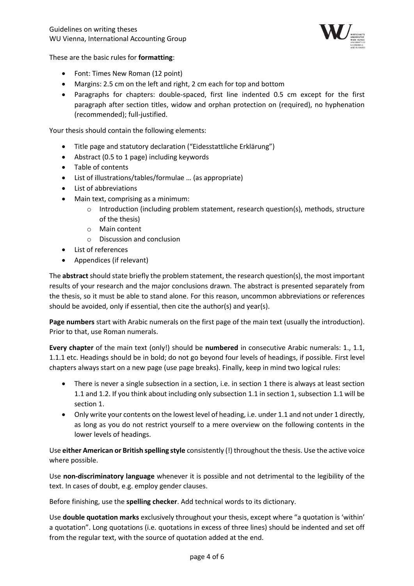

These are the basic rules for **formatting**:

- Font: Times New Roman (12 point)
- Margins: 2.5 cm on the left and right, 2 cm each for top and bottom
- Paragraphs for chapters: double-spaced, first line indented 0.5 cm except for the first paragraph after section titles, widow and orphan protection on (required), no hyphenation (recommended); full-justified.

Your thesis should contain the following elements:

- Title page and statutory declaration ("Eidesstattliche Erklärung")
- Abstract (0.5 to 1 page) including keywords
- Table of contents
- List of illustrations/tables/formulae … (as appropriate)
- List of abbreviations
- Main text, comprising as a minimum:
	- $\circ$  Introduction (including problem statement, research question(s), methods, structure of the thesis)
	- o Main content
	- o Discussion and conclusion
- List of references
- Appendices (if relevant)

The **abstract** should state briefly the problem statement, the research question(s), the most important results of your research and the major conclusions drawn. The abstract is presented separately from the thesis, so it must be able to stand alone. For this reason, uncommon abbreviations or references should be avoided, only if essential, then cite the author(s) and year(s).

**Page numbers** start with Arabic numerals on the first page of the main text (usually the introduction). Prior to that, use Roman numerals.

**Every chapter** of the main text (only!) should be **numbered** in consecutive Arabic numerals: 1., 1.1, 1.1.1 etc. Headings should be in bold; do not go beyond four levels of headings, if possible. First level chapters always start on a new page (use page breaks). Finally, keep in mind two logical rules:

- There is never a single subsection in a section, i.e. in section 1 there is always at least section 1.1 and 1.2. If you think about including only subsection 1.1 in section 1, subsection 1.1 will be section 1.
- Only write your contents on the lowest level of heading, i.e. under 1.1 and not under 1 directly, as long as you do not restrict yourself to a mere overview on the following contents in the lower levels of headings.

Use **either American or British spelling style** consistently (!) throughout the thesis. Use the active voice where possible.

Use **non-discriminatory language** whenever it is possible and not detrimental to the legibility of the text. In cases of doubt, e.g. employ gender clauses.

Before finishing, use the **spelling checker**. Add technical words to its dictionary.

Use **double quotation marks** exclusively throughout your thesis, except where "a quotation is 'within' a quotation". Long quotations (i.e. quotations in excess of three lines) should be indented and set off from the regular text, with the source of quotation added at the end.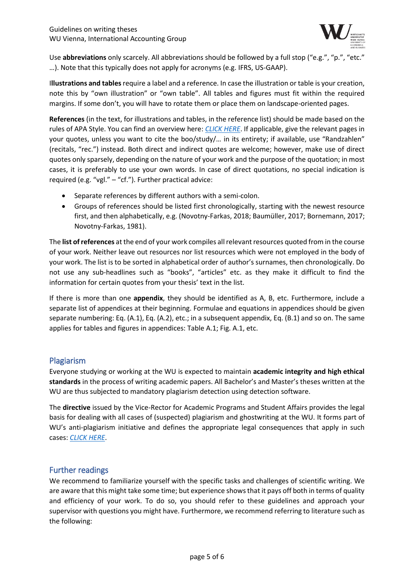

Use **abbreviations** only scarcely. All abbreviations should be followed by a full stop ("e.g.", "p.", "etc." …). Note that this typically does not apply for acronyms (e.g. IFRS, US-GAAP).

I**llustrations and tables**require a label and a reference. In case the illustration or table is your creation, note this by "own illustration" or "own table". All tables and figures must fit within the required margins. If some don't, you will have to rotate them or place them on landscape-oriented pages.

**References** (in the text, for illustrations and tables, in the reference list) should be made based on the rules of APA Style. You can find an overview here: *[CLICK HERE](https://www.tandf.co.uk/journals/authors/style/reference/tf_APA.pdf)*. If applicable, give the relevant pages in your quotes, unless you want to cite the boo/study/… in its entirety; if available, use "Randzahlen" (recitals, "rec.") instead. Both direct and indirect quotes are welcome; however, make use of direct quotes only sparsely, depending on the nature of your work and the purpose of the quotation; in most cases, it is preferably to use your own words. In case of direct quotations, no special indication is required (e.g. "vgl." – "cf."). Further practical advice:

- Separate references by different authors with a semi-colon.
- Groups of references should be listed first chronologically, starting with the newest resource first, and then alphabetically, e.g. (Novotny-Farkas, 2018; Baumüller, 2017; Bornemann, 2017; Novotny-Farkas, 1981).

The **list of references** at the end of your work compiles all relevant resources quoted from in the course of your work. Neither leave out resources nor list resources which were not employed in the body of your work. The list is to be sorted in alphabetical order of author's surnames, then chronologically. Do not use any sub-headlines such as "books", "articles" etc. as they make it difficult to find the information for certain quotes from your thesis' text in the list.

If there is more than one **appendix**, they should be identified as A, B, etc. Furthermore, include a separate list of appendices at their beginning. Formulae and equations in appendices should be given separate numbering: Eq. (A.1), Eq. (A.2), etc.; in a subsequent appendix, Eq. (B.1) and so on. The same applies for tables and figures in appendices: Table A.1; Fig. A.1, etc.

## Plagiarism

Everyone studying or working at the WU is expected to maintain **academic integrity and high ethical standards** in the process of writing academic papers. All Bachelor's and Master's theses written at the WU are thus subjected to mandatory plagiarism detection using detection software.

The **directive** issued by the Vice-Rector for Academic Programs and Student Affairs provides the legal basis for dealing with all cases of (suspected) plagiarism and ghostwriting at the WU. It forms part of WU's anti-plagiarism initiative and defines the appropriate legal consequences that apply in such cases: *[CLICK HERE](https://www.wu.ac.at/fileadmin/wu/h/structure/servicecenters/services/Studieninformation/DIR_Plagiarism_M%C3%A4rz_2019.pdf)*.

## Further readings

We recommend to familiarize yourself with the specific tasks and challenges of scientific writing. We are aware that this might take some time; but experience shows that it pays off both in terms of quality and efficiency of your work. To do so, you should refer to these guidelines and approach your supervisor with questions you might have. Furthermore, we recommend referring to literature such as the following: